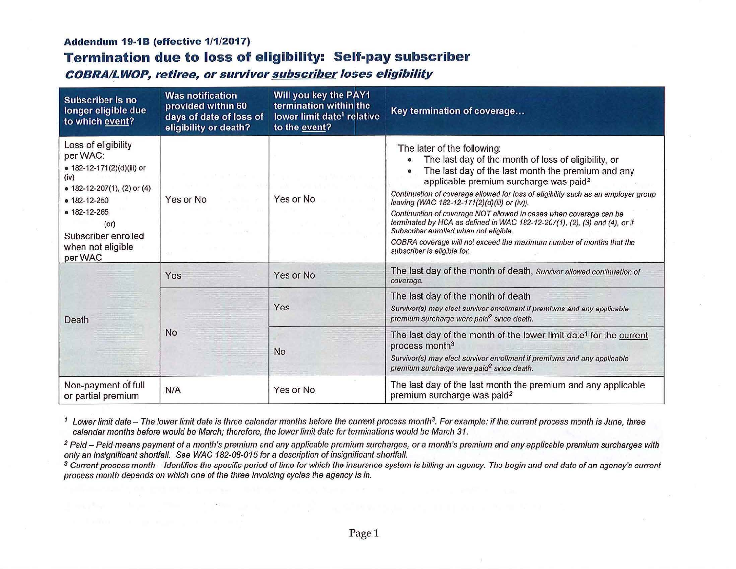### **Addendum 19-18 (effective 1/1/2017)**

# **Termination due to loss of eligibility: Self-pay subscriber**

**COBRAl\_LWOP, retiree, or survivor subscriber loses eligibility** 

| <b>Subscriber is no</b><br>longer eligible due<br>to which event?                                                                                                                                               | <b>Was notification</b><br>provided within 60<br>days of date of loss of<br>eligibility or death? | Will you key the PAY1<br>termination within the<br>lower limit date <sup>1</sup> relative<br>to the event? | Key termination of coverage                                                                                                                                                                                                                                                                                                                                                                                                                                                                                                                                                                                                                |
|-----------------------------------------------------------------------------------------------------------------------------------------------------------------------------------------------------------------|---------------------------------------------------------------------------------------------------|------------------------------------------------------------------------------------------------------------|--------------------------------------------------------------------------------------------------------------------------------------------------------------------------------------------------------------------------------------------------------------------------------------------------------------------------------------------------------------------------------------------------------------------------------------------------------------------------------------------------------------------------------------------------------------------------------------------------------------------------------------------|
| Loss of eligibility<br>per WAC:<br>· 182-12-171(2)(d)(iii) or<br>(iv)<br>• 182-12-207(1), (2) or (4)<br>$0 182 - 12 - 250$<br>• 182-12-265<br>$($ or $)$<br>Subscriber enrolled<br>when not eligible<br>per WAC | Yes or No                                                                                         | Yes or No                                                                                                  | The later of the following:<br>The last day of the month of loss of eligibility, or<br>The last day of the last month the premium and any<br>applicable premium surcharge was paid <sup>2</sup><br>Continuation of coverage allowed for loss of eligibility such as an employer group<br>leaving (WAC 182-12-171(2)(d)(iii) or (iv)).<br>Continuation of coverage NOT allowed in cases when coverage can be<br>terminated by HCA as defined in WAC 182-12-207(1), (2), (3) and (4), or if<br>Subscriber enrolled when not eligible.<br>COBRA coverage will not exceed the maximum number of months that the<br>subscriber is eligible for. |
| Death                                                                                                                                                                                                           | Yes                                                                                               | Yes or No                                                                                                  | The last day of the month of death, Survivor allowed continuation of<br>coverage.                                                                                                                                                                                                                                                                                                                                                                                                                                                                                                                                                          |
|                                                                                                                                                                                                                 | <b>No</b>                                                                                         | Yes                                                                                                        | The last day of the month of death<br>Survivor(s) may elect survivor enrollment if premiums and any applicable<br>premium surcharge were paid <sup>2</sup> since death.                                                                                                                                                                                                                                                                                                                                                                                                                                                                    |
|                                                                                                                                                                                                                 |                                                                                                   | No                                                                                                         | The last day of the month of the lower limit date <sup>1</sup> for the current<br>process month <sup>3</sup><br>Survivor(s) may elect survivor enrollment if premiums and any applicable<br>premium surcharge were paid <sup>2</sup> since death.                                                                                                                                                                                                                                                                                                                                                                                          |
| Non-payment of full<br>or partial premium                                                                                                                                                                       | N/A                                                                                               | Yes or No                                                                                                  | The last day of the last month the premium and any applicable<br>premium surcharge was paid <sup>2</sup>                                                                                                                                                                                                                                                                                                                                                                                                                                                                                                                                   |

<sup>1</sup> Lower limit date – The lower limit date is three calendar months before the current process month<sup>3</sup>. For example: if the current process month is June, three calendar months before would be March; therefore, the lower limit date for terminations would be March 31.

<sup>2</sup> Paid - Paid·means payment of a month's premium and any applicable premium surcharges, or a month's premium and any applicable premium surcharges with only an insignificant shortfall. See WAC 182-08-015 for a description of insignificant shortfall.

<sup>3</sup> Current process month - Identifies the specific period of time for which the insurance system is billing an agency. The begin and end date of an agency's current process month depends on which one of the three invoicing cycles the agency is in.